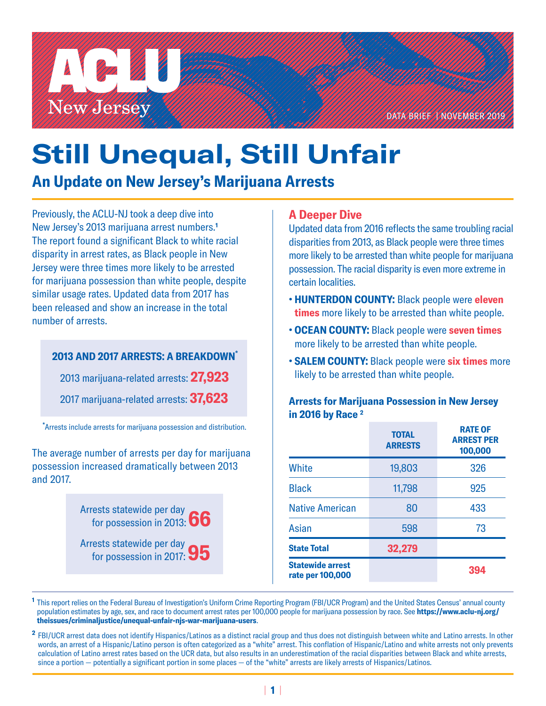

# **Still Unequal, Still Unfair**

# **An Update on New Jersey's Marijuana Arrests**

Previously, the ACLU-NJ took a deep dive into New Jersey's 2013 marijuana arrest numbers.**<sup>1</sup>** The report found a significant Black to white racial disparity in arrest rates, as Black people in New Jersey were three times more likely to be arrested for marijuana possession than white people, despite similar usage rates. Updated data from 2017 has been released and show an increase in the total number of arrests.

## **2013 AND 2017 ARRESTS: A BREAKDOWN\***

2013 marijuana-related arrests: **27,923**

2017 marijuana-related arrests: **37,623**

**\*** Arrests include arrests for marijuana possession and distribution.

The average number of arrests per day for marijuana possession increased dramatically between 2013 and 2017.

> Arrests statewide per day for possession in 2013: **66**

Arrests statewide per day for possession in 2017: **95**

# **A Deeper Dive**

Updated data from 2016 reflects the same troubling racial disparities from 2013, as Black people were three times more likely to be arrested than white people for marijuana possession. The racial disparity is even more extreme in certain localities.

- **HUNTERDON COUNTY:** Black people were **eleven times** more likely to be arrested than white people.
- **OCEAN COUNTY:** Black people were **seven times** more likely to be arrested than white people.
- **SALEM COUNTY:** Black people were **six times** more likely to be arrested than white people.

#### **Arrests for Marijuana Possession in New Jersey in 2016 by Race 2**

|                                             | <b>TOTAL</b><br><b>ARRESTS</b> | <b>RATE OF</b><br><b>ARREST PER</b><br>100,000 |
|---------------------------------------------|--------------------------------|------------------------------------------------|
| <b>White</b>                                | 19,803                         | 326                                            |
| <b>Black</b>                                | 11,798                         | 925                                            |
| <b>Native American</b>                      | 80                             | 433                                            |
| Asian                                       | 598                            | 73                                             |
| <b>State Total</b>                          | 32,279                         |                                                |
| <b>Statewide arrest</b><br>rate per 100,000 |                                | 394                                            |

**<sup>1</sup>**This report relies on the Federal Bureau of Investigation's Uniform Crime Reporting Program (FBI/UCR Program) and the United States Census' annual county population estimates by age, sex, and race to document arrest rates per 100,000 people for marijuana possession by race. See **[https://www.aclu-nj.org/](https://www.aclu-nj.org/theissues/criminaljustice/unequal-unfair-njs-war-marijuana-users) [theissues/criminaljustice/unequal-unfair-njs-war-marijuana-users](https://www.aclu-nj.org/theissues/criminaljustice/unequal-unfair-njs-war-marijuana-users)**.

**<sup>2</sup>**FBI/UCR arrest data does not identify Hispanics/Latinos as a distinct racial group and thus does not distinguish between white and Latino arrests. In other words, an arrest of a Hispanic/Latino person is often categorized as a "white" arrest. This conflation of Hispanic/Latino and white arrests not only prevents calculation of Latino arrest rates based on the UCR data, but also results in an underestimation of the racial disparities between Black and white arrests, since a portion — potentially a significant portion in some places — of the "white" arrests are likely arrests of Hispanics/Latinos.